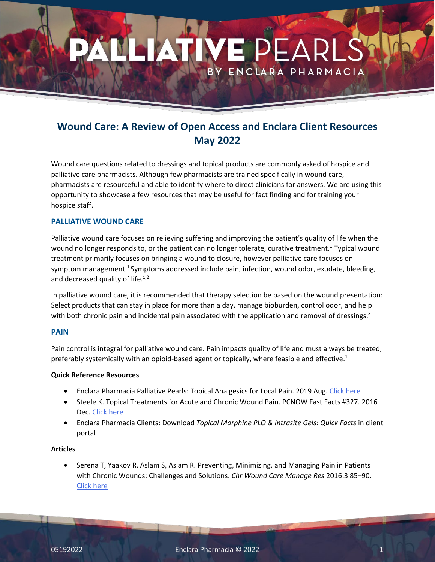# ENCLARA PHARMACIA

## **Wound Care: A Review of Open Access and Enclara Client Resources May 2022**

Wound care questions related to dressings and topical products are commonly asked of hospice and palliative care pharmacists. Although few pharmacists are trained specifically in wound care, pharmacists are resourceful and able to identify where to direct clinicians for answers. We are using this opportunity to showcase a few resources that may be useful for fact finding and for training your hospice staff.

### **PALLIATIVE WOUND CARE**

Palliative wound care focuses on relieving suffering and improving the patient's quality of life when the wound no longer responds to, or the patient can no longer tolerate, curative treatment.<sup>1</sup> Typical wound treatment primarily focuses on bringing a wound to closure, however palliative care focuses on symptom management.<sup>1</sup> Symptoms addressed include pain, infection, wound odor, exudate, bleeding, and decreased quality of life. $1,2$ 

In palliative wound care, it is recommended that therapy selection be based on the wound presentation: Select products that can stay in place for more than a day, manage bioburden, control odor, and help with both chronic pain and incidental pain associated with the application and removal of dressings.<sup>3</sup>

### **PAIN**

Pain control is integral for palliative wound care. Pain impacts quality of life and must always be treated, preferably systemically with an opioid-based agent or topically, where feasible and effective.<sup>1</sup>

### **Quick Reference Resources**

- Enclara Pharmacia Palliative Pearls: Topical Analgesics for Local Pain. 2019 Aug. [Click here](https://enclarapharmacia.com/palliative-pearls/topical-analgesics-for-local-pain)
- Steele K. Topical Treatments for Acute and Chronic Wound Pain. PCNOW Fast Facts #327. 2016 Dec. [Click here](https://www.mypcnow.org/fast-fact/topical-treatments-for-acute-and-chronic-wound-pain/)
- Enclara Pharmacia Clients: Download *Topical Morphine PLO & Intrasite Gels: Quick Facts* in client portal

### **Articles**

• Serena T, Yaakov R, Aslam S, Aslam R. Preventing, Minimizing, and Managing Pain in Patients with Chronic Wounds: Challenges and Solutions. *Chr Wound Care Manage Res* 2016:3 85–90. [Click here](https://www.dovepress.com/preventing-minimizing-and-managing-pain-in-patients-with-chronic-wound-peer-reviewed-fulltext-article-CWCMR)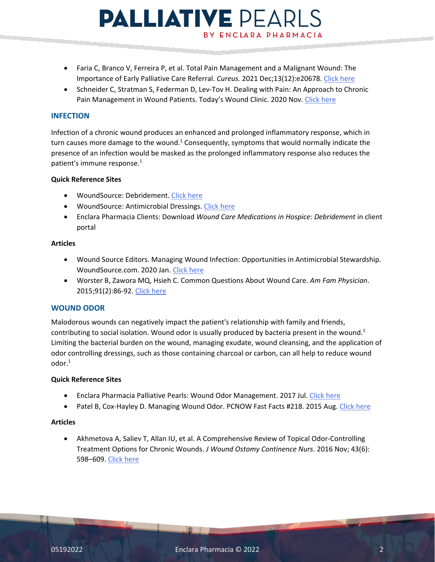# **PALLIATIVE PEARLS** BY ENCLARA PHARMACIA

- Faria C, Branco V, Ferreira P, et al. Total Pain Management and a Malignant Wound: The Importance of Early Palliative Care Referral. *Cureus.* 2021 Dec;13(12):e20678. [Click here](https://www.cureus.com/articles/80421-total-pain-management-and-a-malignant-wound-the-importance-of-early-palliative-care-referral)
- Schneider C, Stratman S, Federman D, Lev-Tov H. Dealing with Pain: An Approach to Chronic Pain Management in Wound Patients. Today's Wound Clinic. 2020 Nov. [Click here](https://www.hmpgloballearningnetwork.com/site/twc/articles/dealing-pain-approach-chronic-pain-management-wound-patients)

### **INFECTION**

Infection of a chronic wound produces an enhanced and prolonged inflammatory response, which in turn causes more damage to the wound.<sup>1</sup> Consequently, symptoms that would normally indicate the presence of an infection would be masked as the prolonged inflammatory response also reduces the patient's immune response. 1

### **Quick Reference Sites**

- WoundSource: Debridement. [Click here](http://www.woundsource.com/product-category/debridement)
- WoundSource: Antimicrobial Dressings. [Click here](http://www.woundsource.com/product-category/dressings/antimicrobial-dressings)
- Enclara Pharmacia Clients: Download *Wound Care Medications in Hospice: Debridement* in client portal

### **Articles**

- Wound Source Editors. Managing Wound Infection: Opportunities in Antimicrobial Stewardship. WoundSource.com. 2020 Jan. [Click here](https://www.woundsource.com/blog/managing-wound-infection-opportunities-in-antimicrobial-stewardship)
- Worster B, Zawora MQ, Hsieh C. Common Questions About Wound Care. *Am Fam Physician*. 2015;91(2):86-92[. Click here](https://www.aafp.org/afp/2015/0115/afp20150115p86.pdf)

### **WOUND ODOR**

Malodorous wounds can negatively impact the patient's relationship with family and friends, contributing to social isolation. Wound odor is usually produced by bacteria present in the wound.<sup>1</sup> Limiting the bacterial burden on the wound, managing exudate, wound cleansing, and the application of odor controlling dressings, such as those containing charcoal or carbon, can all help to reduce wound odor.1

### **Quick Reference Sites**

- Enclara Pharmacia Palliative Pearls: Wound Odor Management. 2017 Jul. [Click here](https://enclarapharmacia.com/palliative-pearls/wound-odor-management)
- Patel B, Cox-Hayley D. Managing Wound Odor. PCNOW Fast Facts #218. 2015 Aug. [Click here](https://www.mypcnow.org/fast-fact/managing-wound-odor/)

### **Articles**

• Akhmetova A, Saliev T, Allan IU, et al. A Comprehensive Review of Topical Odor-Controlling Treatment Options for Chronic Wounds. *J Wound Ostomy Continence Nurs*. 2016 Nov; 43(6): 598–609. [Click here](https://www.ncbi.nlm.nih.gov/pmc/articles/PMC5098468/)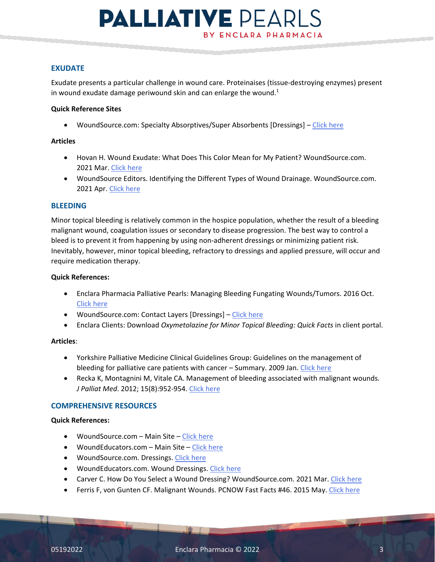# **PALLIATIVE PEARLS** BY ENCLARA PHARMACIA

### **EXUDATE**

Exudate presents a particular challenge in wound care. Proteinaises (tissue-destroying enzymes) present in wound exudate damage periwound skin and can enlarge the wound. $1$ 

### **Quick Reference Sites**

• WoundSource.com: Specialty Absorptives/Super Absorbents [Dressings] – [Click here](http://www.woundsource.com/product-category/dressings/absorptives)

### **Articles**

- Hovan H. Wound Exudate: What Does This Color Mean for My Patient? WoundSource.com. 2021 Mar[. Click here](https://www.woundsource.com/blog/wound-exudate-what-does-color-mean-my-patient)
- WoundSource Editors. Identifying the Different Types of Wound Drainage. WoundSource.com. 2021 Apr. [Click here](https://www.woundsource.com/blog/identifying-different-types-wound-drainage)

### **BLEEDING**

Minor topical bleeding is relatively common in the hospice population, whether the result of a bleeding malignant wound, coagulation issues or secondary to disease progression. The best way to control a bleed is to prevent it from happening by using non-adherent dressings or minimizing patient risk. Inevitably, however, minor topical bleeding, refractory to dressings and applied pressure, will occur and require medication therapy.

### **Quick References:**

- Enclara Pharmacia Palliative Pearls: Managing Bleeding Fungating Wounds/Tumors. 2016 Oct. [Click here](https://enclarapharmacia.com/palliative-pearls/managing-bleeding-fungating-woundstumors)
- WoundSource.com: Contact Layers [Dressings] – [Click here](http://www.woundsource.com/product-category/dressings/contact-layers)
- Enclara Clients: Download *Oxymetolazine for Minor Topical Bleeding: Quick Facts* in client portal.

### **Articles**:

- Yorkshire Palliative Medicine Clinical Guidelines Group: Guidelines on the management of bleeding for palliative care patients with cancer – Summary. 2009 Jan. [Click here](https://www.palliativedrugs.com/download/090331_Summary_bleeding_guidelines.pdf)
- Recka K, Montagnini M, Vitale CA. Management of bleeding associated with malignant wounds*. J Palliat Med*. 2012; 15(8):952-954. [Click here](https://www.liebertpub.com/doi/pdf/10.1089/jpm.2011.0286)

### **COMPREHENSIVE RESOURCES**

### **Quick References:**

- WoundSource.com Main Site  [Click here](https://www.woundsource.com/)
- WoundEducators.com Main Site – [Click here](https://woundeducators.com/resources/)
- WoundSource.com. Dressings. [Click here](https://www.woundsource.com/product-category/dressings)
- WoundEducators.com. Wound Dressings. [Click here](https://woundeducators.com/resources/wound-dressings/)
- Carver C. How Do You Select a Wound Dressing? WoundSource.com. 2021 Mar. [Click here](https://www.woundsource.com/blog/how-do-you-select-wound-dressing)
- Ferris F, von Gunten CF. Malignant Wounds. PCNOW Fast Facts #46. 2015 May. [Click here](https://www.mypcnow.org/fast-fact/malignant-wounds/)